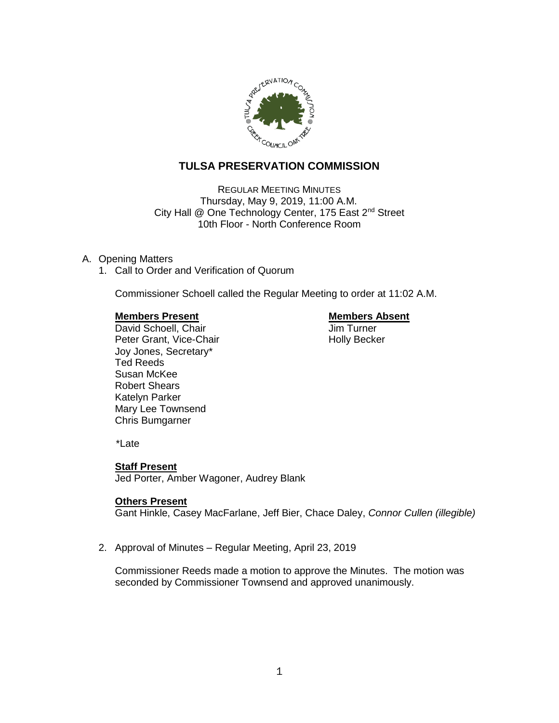

# **TULSA PRESERVATION COMMISSION**

REGULAR MEETING MINUTES Thursday, May 9, 2019, 11:00 A.M. City Hall @ One Technology Center, 175 East 2<sup>nd</sup> Street 10th Floor - North Conference Room

## A. Opening Matters

1. Call to Order and Verification of Quorum

Commissioner Schoell called the Regular Meeting to order at 11:02 A.M.

### **Members Present Communist Communist Present Communist Present**

**David Schoell, Chair Chair Chair Jim Turner** Peter Grant, Vice-Chair Noter Holly Becker Joy Jones, Secretary\* Ted Reeds Susan McKee Robert Shears Katelyn Parker Mary Lee Townsend Chris Bumgarner

\*Late

## **Staff Present**

Jed Porter, Amber Wagoner, Audrey Blank

#### **Others Present**

Gant Hinkle, Casey MacFarlane, Jeff Bier, Chace Daley, *Connor Cullen (illegible)*

2. Approval of Minutes – Regular Meeting, April 23, 2019

Commissioner Reeds made a motion to approve the Minutes. The motion was seconded by Commissioner Townsend and approved unanimously.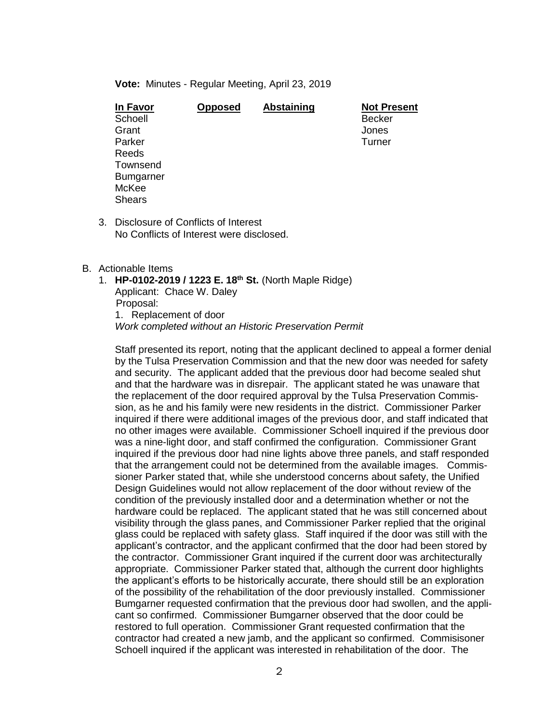**Vote:** Minutes - Regular Meeting, April 23, 2019

| In Favor         | <b>Opposed</b> | <b>Abstaining</b> | <b>Not Present</b> |
|------------------|----------------|-------------------|--------------------|
| Schoell          |                |                   | <b>Becker</b>      |
| Grant            |                |                   | Jones              |
| Parker           |                |                   | Turner             |
| Reeds            |                |                   |                    |
| Townsend         |                |                   |                    |
| <b>Bumgarner</b> |                |                   |                    |
| McKee            |                |                   |                    |
| <b>Shears</b>    |                |                   |                    |
|                  |                |                   |                    |

3. Disclosure of Conflicts of Interest No Conflicts of Interest were disclosed.

### B. Actionable Items

1. **HP-0102-2019 / 1223 E. 18th St.** (North Maple Ridge) Applicant: Chace W. Daley Proposal: 1. Replacement of door *Work completed without an Historic Preservation Permit*

Staff presented its report, noting that the applicant declined to appeal a former denial by the Tulsa Preservation Commission and that the new door was needed for safety and security. The applicant added that the previous door had become sealed shut and that the hardware was in disrepair. The applicant stated he was unaware that the replacement of the door required approval by the Tulsa Preservation Commission, as he and his family were new residents in the district. Commissioner Parker inquired if there were additional images of the previous door, and staff indicated that no other images were available. Commissioner Schoell inquired if the previous door was a nine-light door, and staff confirmed the configuration. Commissioner Grant inquired if the previous door had nine lights above three panels, and staff responded that the arrangement could not be determined from the available images. Commissioner Parker stated that, while she understood concerns about safety, the Unified Design Guidelines would not allow replacement of the door without review of the condition of the previously installed door and a determination whether or not the hardware could be replaced. The applicant stated that he was still concerned about visibility through the glass panes, and Commissioner Parker replied that the original glass could be replaced with safety glass. Staff inquired if the door was still with the applicant's contractor, and the applicant confirmed that the door had been stored by the contractor. Commissioner Grant inquired if the current door was architecturally appropriate. Commissioner Parker stated that, although the current door highlights the applicant's efforts to be historically accurate, there should still be an exploration of the possibility of the rehabilitation of the door previously installed. Commissioner Bumgarner requested confirmation that the previous door had swollen, and the applicant so confirmed. Commissioner Bumgarner observed that the door could be restored to full operation. Commissioner Grant requested confirmation that the contractor had created a new jamb, and the applicant so confirmed. Commisisoner Schoell inquired if the applicant was interested in rehabilitation of the door. The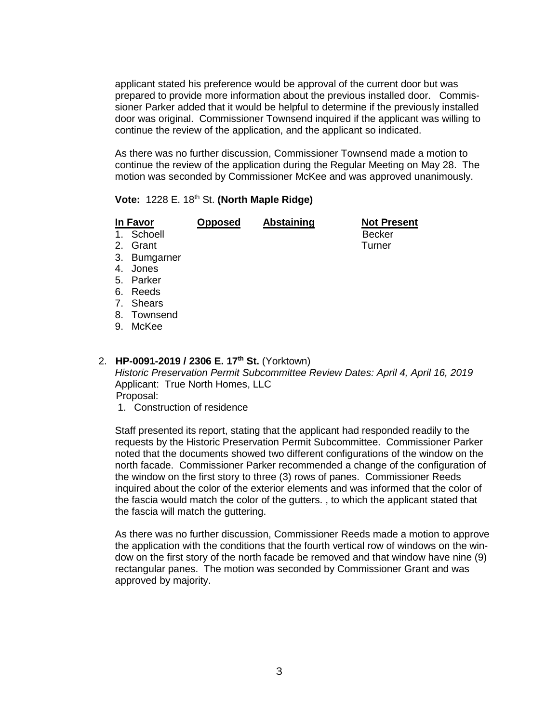applicant stated his preference would be approval of the current door but was prepared to provide more information about the previous installed door. Commissioner Parker added that it would be helpful to determine if the previously installed door was original. Commissioner Townsend inquired if the applicant was willing to continue the review of the application, and the applicant so indicated.

As there was no further discussion, Commissioner Townsend made a motion to continue the review of the application during the Regular Meeting on May 28. The motion was seconded by Commissioner McKee and was approved unanimously.

## **Vote: 1228 E. 18th St. (North Maple Ridge)**

|    | In Favor     | <b>Opposed</b> | <b>Abstaining</b> | <b>Not Present</b> |
|----|--------------|----------------|-------------------|--------------------|
|    | 1. Schoell   |                |                   | <b>Becker</b>      |
| 2. | Grant        |                |                   | Turner             |
|    | 3. Bumgarner |                |                   |                    |
| 4. | Jones        |                |                   |                    |
|    | 5. Parker    |                |                   |                    |
| 6. | Reeds        |                |                   |                    |
|    | 7. Shears    |                |                   |                    |
| 8. | Townsend     |                |                   |                    |
| 9. | McKee        |                |                   |                    |
|    |              |                |                   |                    |
|    |              |                |                   |                    |

# 2. **HP-0091-2019 / 2306 E. 17th St.** (Yorktown)

*Historic Preservation Permit Subcommittee Review Dates: April 4, April 16, 2019* Applicant: True North Homes, LLC Proposal:

1. Construction of residence

Staff presented its report, stating that the applicant had responded readily to the requests by the Historic Preservation Permit Subcommittee. Commissioner Parker noted that the documents showed two different configurations of the window on the north facade. Commissioner Parker recommended a change of the configuration of the window on the first story to three (3) rows of panes. Commissioner Reeds inquired about the color of the exterior elements and was informed that the color of the fascia would match the color of the gutters. , to which the applicant stated that the fascia will match the guttering.

As there was no further discussion, Commissioner Reeds made a motion to approve the application with the conditions that the fourth vertical row of windows on the window on the first story of the north facade be removed and that window have nine (9) rectangular panes. The motion was seconded by Commissioner Grant and was approved by majority.